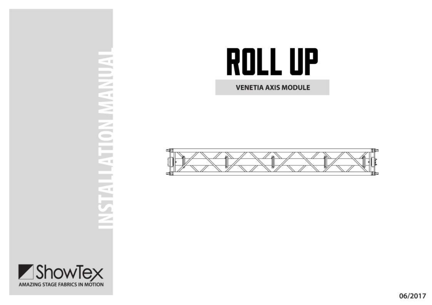# $-1$  $-1$ Ξ  $\leq$  $\equiv$  $-1$ E,



# **ROLL UP**

**VENETIA AXIS MODULE** 

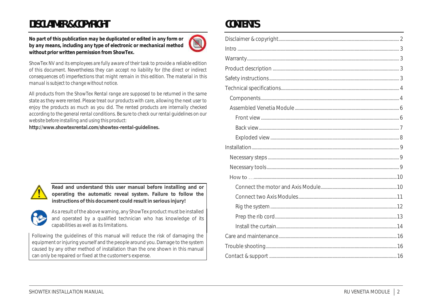# <span id="page-1-0"></span>DISCLAIMER & COPYRIGHT

*No part of this publication may be duplicated or edited in any form or by any means, including any type of electronic or mechanical method without prior written permission from ShowTex.*



*ShowTex NV and its employees are fully aware of their task to provide a reliable edition of this document. Nevertheless they can accept no liability for (the direct or indirect consequences of) imperfections that might remain in this edition. The material in this manual is subject to change without notice.*

*All products from the ShowTex Rental range are supposed to be returned in the same state as they were rented. Please treat our products with care, allowing the next user to enjoy the products as much as you did. The rented products are internally checked according to the general rental conditions. Be sure to check our rental guidelines on our website before installing and using this product:*

*http://www.showtexrental.com/showtex-rental-guidelines.*



**Read and understand this user manual before installing and or operating the automatic reveal system. Failure to follow the instructions of this document could result in serious injury!**



As a result of the above warning, any ShowTex product must be installed and operated by a qualified technician who has knowledge of its capabilities as well as its limitations.

Following the guidelines of this manual will reduce the risk of damaging the equipment or injuring yourself and the people around you. Damage to the system caused by any other method of installation than the one shown in this manual can only be repaired or fixed at the customer's expense.

# CONTENTS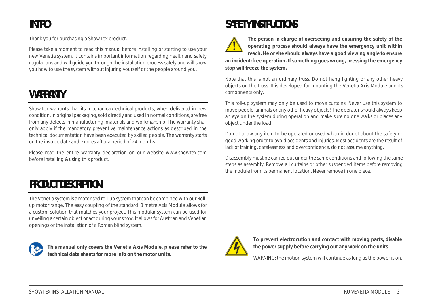# <span id="page-2-0"></span>INTRO

Thank you for purchasing a ShowTex product.

Please take a moment to read this manual before installing or starting to use your new Venetia system. It contains important information regarding health and safety regulations and will guide you through the installation process safely and will show you how to use the system without injuring yourself or the people around you.

# <span id="page-2-1"></span>WARRANTY

ShowTex warrants that its mechanical/technical products, when delivered in new condition, in original packaging, sold directly and used in normal conditions, are free from any defects in manufacturing, materials and workmanship. The warranty shall only apply if the mandatory preventive maintenance actions as described in the technical documentation have been executed by skilled people. The warranty starts on the invoice date and expires after a period of 24 months.

Please read the entire warranty declaration on our website [www.showtex.com](http://www.showtex.com/) before installing & using this product.

# <span id="page-2-2"></span>PRODUCT DESCRIPTION

The Venetia system is a motorised roll-up system that can be combined with our Rollup motor range. The easy coupling of the standard 3 metre Axis Module allows for a custom solution that matches your project. This modular system can be used for unveiling a certain object or act during your show. It allows for Austrian and Venetian openings or the installation of a Roman blind system.



**This manual only covers the Venetia Axis Module, please refer to the technical data sheets for more info on the motor units.**

# <span id="page-2-3"></span>SAFETY INSTRUCTIONS

**The person in charge of overseeing and ensuring the safety of the operating process should always have the emergency unit within reach. He or she should always have a good viewing angle to ensure an incident-free operation. If something goes wrong, pressing the emergency stop will freeze the system.**

Note that this is not an ordinary truss. Do not hang lighting or any other heavy objects on the truss. It is developed for mounting the Venetia Axis Module and its components only.

This roll-up system may only be used to move curtains. Never use this system to move people, animals or any other heavy objects! The operator should always keep an eye on the system during operation and make sure no one walks or places any object under the load.

Do not allow any item to be operated or used when in doubt about the safety or good working order to avoid accidents and injuries. Most accidents are the result of lack of training, carelessness and overconfidence, do not assume anything.

Disassembly must be carried out under the same conditions and following the same steps as assembly. Remove all curtains or other suspended items before removing the module from its permanent location. Never remove in one piece.



**To prevent electrocution and contact with moving parts, disable the power supply before carrying out any work on the units.**

WARNING: the motion system will continue as long as the power is on.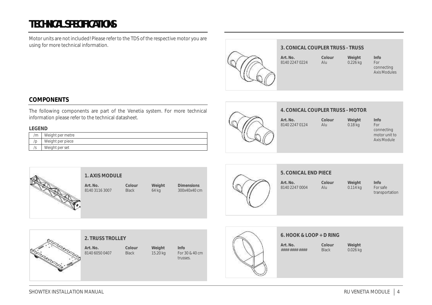# <span id="page-3-0"></span>TECHNICAL SPECIFICATIONS

Motor units are not included! Please refer to the TDS of the respective motor you are using for more technical information.



# <span id="page-3-1"></span>**COMPONENTS**

The following components are part of the Venetia system. For more technical information please refer to the technical datasheet.

### **LEGEND**

| /m               | Weight per metre |
|------------------|------------------|
|                  | Weight per piece |
| $\sim$<br>$\sim$ | Weight per set   |



# **4. CONICAL COUPLER TRUSS - MOTOR**

**Art. No. Colour Weight Info** 8140 2247 0124

| Info          |
|---------------|
| For           |
| connecting    |
| motor unit to |
| Axis Module   |
|               |

connecting Axis Modules





**Art. No. Colour Weight Info** 8140 2247 0004

transportation



**2. TRUSS TROLLEY**

**Art. No. Colour Weight Info**

For 30 & 40 cm trusses.



# **6. HOOK & LOOP + D RING**

**Art. No. Colour Weight** #### #### #### Black 0.026 kg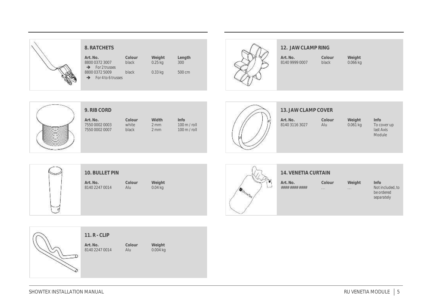

### **8. RATCHETS**

| Art. No.                            | Colour | Weight    | Length |
|-------------------------------------|--------|-----------|--------|
| 8800 0372 3007                      | black  | $0.25$ kg | 300    |
| $\rightarrow$ For 2 trusses         |        |           |        |
| 8800 0372 5009                      | black  | $0.33$ kg | 500 cm |
| $\rightarrow$<br>For 4 to 6 trusses |        |           |        |
|                                     |        |           |        |



# **12. JAW CLAMP RING**

**Art. No. Colour Weight**



# **9. RIB CORD**

**Art. No. Colour Width Info** 7550 0002 0003 white 2 mm 100 m / roll 7550 0002 0007



# **13. JAW CLAMP COVER**

**Art. No. Colour Weight Info** 8140 3116 3027

last Axis Module



### **10. BULLET PIN**

8140 2247 0014

**Art. No. Colour Weight**



### **14. VENETIA CURTAIN**

**Art. No. Colour Weight Info**

...  $\overline{a}$  *Not included, to be ordered separately*



# **11. R - CLIP**

**Art. No. Colour Weight** 8140 2247 0014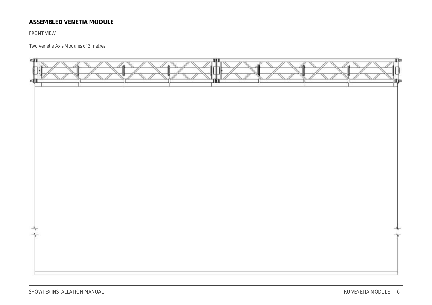# <span id="page-5-0"></span>**ASSEMBLED VENETIA MODULE**

<span id="page-5-1"></span>FRONT VIEW

# *Two Venetia Axis Modules of 3 metres*

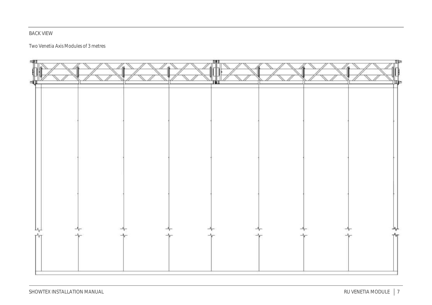# <span id="page-6-0"></span>BACK VIEW

# *Two Venetia Axis Modules of 3 metres*

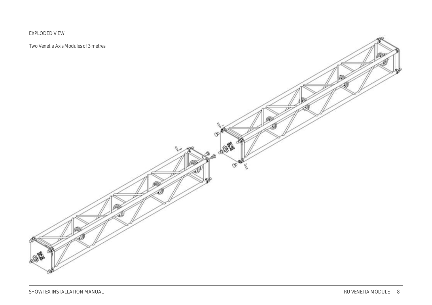# <span id="page-7-0"></span>EXPLODED VIEW

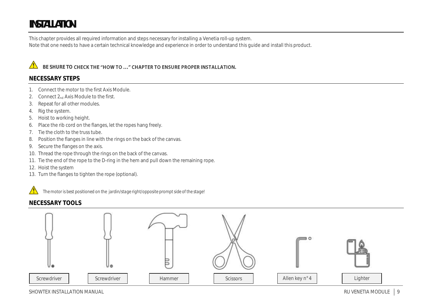# <span id="page-8-0"></span>INSTALLATION

This chapter provides all required information and steps necessary for installing a Venetia roll-up system. Note that one needs to have a certain technical knowledge and experience in order to understand this guide and install this product.

### $\sqrt{N}$ BE SHURE TO **CHECK THE "HOW TO ..." CHAPTER TO ENSURE PROPER INSTALLATION.**

# <span id="page-8-1"></span>**NECESSARY STEPS**

- 1. [Connect the motor to the first Axis Module.](#page-9-1)
- 2. Connect  $2_{nd}$  [Axis Module to the first.](#page-10-0)
- 3. [Repeat for all other modules.](#page-10-0)
- 4. [Rig the system.](#page-11-0)
- 5. [Hoist to working height.](#page-11-0)
- 6. Place the rib cord on the [flanges, let the ropes hang freely.](#page-12-0)
- 7. [Tie the cloth to the truss tube.](#page-13-0)
- 8. [Position the flanges in line with the rings on the back of the canvas.](#page-14-0)
- 9. [Secure the flanges on](#page-14-0) the axis.
- 10. [Thread the rope through the rings on the back of the canvas.](#page-14-0)
- 11. [Tie the end of the rope to the D-ring in the hem](#page-14-0) and pull down the remaining rope.
- 12. [Hoist the system](#page-14-0)
- 13. [Turn the flanges to tighten the rope \(optional\).](#page-14-0)



# <span id="page-8-2"></span>**NECESSARY TOOLS**



SHOWTEX INSTALLATION MANUAL **Example 2008** NO VENETIA MODULE 9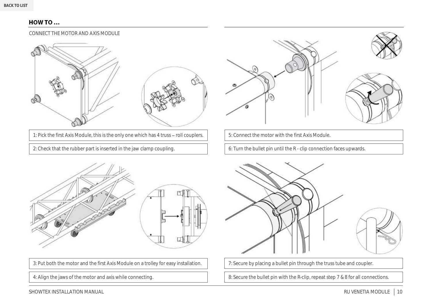# <span id="page-9-1"></span><span id="page-9-0"></span>HOW TO ...

CONNECT THE MOTOR AND AXIS MODULE



1: Pick the first Axis Module, this is the only one which has 4 truss - roll couplers.

2: Check that the rubber part is inserted in the jaw clamp coupling.



3: Put both the motor and the first Axis Module on a trolley for easy installation.

4: Align the jaws of the motor and axis while connecting.



- 5: Connect the motor with the first Axis Module.
- 6: Turn the bullet pin until the R clip connection faces upwards.



7: Secure by placing a bullet pin through the truss tube and coupler.

8: Secure the bullet pin with the R-clip, repeat step 7 & 8 for all connections.

SHOWTEX INSTALLATION MANUAL 10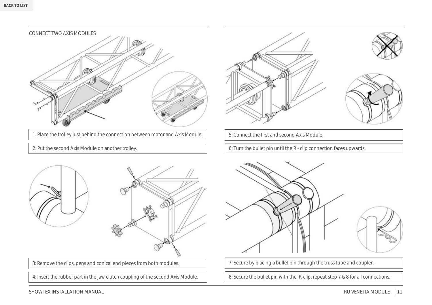<span id="page-10-0"></span>

1: Place the trolley just behind the connection between motor and Axis Module.

2: Put the second Axis Module on another trolley.



3: Remove the clips, pens and conical end pieces from both modules.

4: Insert the rubber part in the jaw clutch coupling of the second Axis Module.



5: Connect the first and second Axis Module.

6: Turn the bullet pin until the R - clip connection faces upwards.



7: Secure by placing a bullet pin through the truss tube and coupler.

8: Secure the bullet pin with the R-clip, repeat step 7 & 8 for all connections.

SHOWTEX INSTALLATION MANUAL **Example 2018** NO VENETIA MODULE 11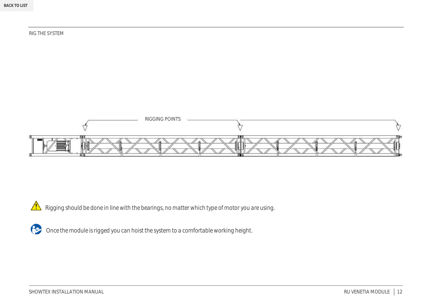# <span id="page-11-0"></span>RIG THE SYSTEM





*Rigging should be done in line with the bearings, no matter which type of motor you are using.*



*Once the module is rigged you can hoist the system to a comfortable working height.*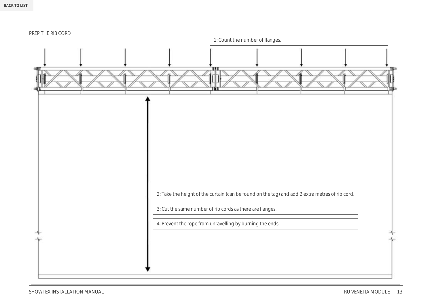<span id="page-12-0"></span>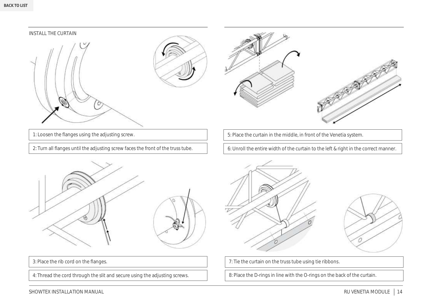# <span id="page-13-0"></span>INSTALL THE CURTAIN





2: Turn all flanges until the adjusting screw faces the front of the truss tube.



5: Place the curtain in the middle, in front of the Venetia system.

6: Unroll the entire width of the curtain to the left & right in the correct manner.



3: Place the rib cord on the flanges.

4: Thread the cord through the slit and secure using the adjusting screws.





7: Tie the curtain on the truss tube using tie ribbons.

8: Place the D-rings in line with the O-rings on the back of the curtain.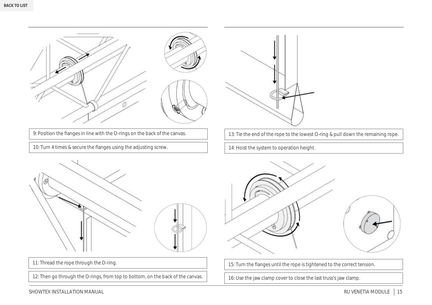<span id="page-14-0"></span>



9: Position the flanges in line with the O-rings on the back of the canvas.

10: Turn 4 times & secure the flanges using the adjusting screw.



13: Tie the end of the rope to the lowest O-ring & pull down the remaining rope.

14: Hoist the system to operation height.



11: Thread the rope through the D-ring.

12: Then go through the O-rings, from top to bottom, on the back of the canvas.



15: Turn the flanges until the rope is tightened to the correct tension.

16: Use the jaw clamp cover to close the last truss's jaw clamp.

SHOWTEX INSTALLATION MANUAL 15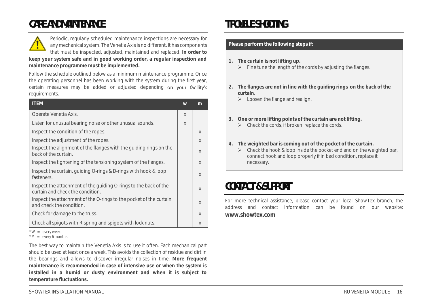# <span id="page-15-0"></span>CARE AND MAINTENANCE

Periodic, regularly scheduled maintenance inspections are necessary for any mechanical system. The Venetia Axis is no different. It has components that must be inspected, adjusted, maintained and replaced. **In order to keep your system safe and in good working order, a regular inspection and** 

**maintenance programme must be implemented.**

Follow the schedule outlined below as a minimum maintenance programme. Once the operating personnel has been working with the system during the first year, certain measures may be added or adjusted depending on your facility's requirements.

| <b>ITEM</b>                                                                                          | W        | m        |
|------------------------------------------------------------------------------------------------------|----------|----------|
| Operate Venetia Axis.                                                                                | $\times$ |          |
| Listen for unusual bearing noise or other unusual sounds.                                            | $\times$ |          |
| Inspect the condition of the ropes.                                                                  |          | $\times$ |
| Inspect the adjustment of the ropes.                                                                 |          | $\times$ |
| Inspect the alignment of the flanges with the guiding rings on the<br>back of the curtain.           |          | $\times$ |
| Inspect the tightening of the tensioning system of the flanges.                                      |          | $\times$ |
| Inspect the curtain, guiding O-rings & D-rings with hook & loop<br>fasteners.                        |          | X        |
| Inspect the attachment of the guiding O-rings to the back of the<br>curtain and check the condition. |          | $\times$ |
| Inspect the attachment of the O-rings to the pocket of the curtain<br>and check the condition.       |          | X        |
| Check for damage to the truss.                                                                       |          | $\times$ |
| Check all spigots with R-spring and spigots with lock nuts.                                          |          | $\times$ |

*<sup>\*</sup> W = every week*

*\* M = every 6 months*

The best way to maintain the Venetia Axis is to use it often. Each mechanical part should be used at least once a week. This avoids the collection of residue and dirt in the bearings and allows to discover irregular noises in time. **More frequent maintenance is recommended in case of intensive use or when the system is installed in a humid or dusty environment and when it is subject to temperature fluctuations.**

# <span id="page-15-1"></span>TROUBLE SHOOTING

# **Please perform the following steps if:**

- **1. The curtain is not lifting up.**
	- $\triangleright$  Fine tune the length of the cords by adjusting the flanges.
- **2. The flanges are not in line with the guiding rings on the back of the curtain.**
	- $\triangleright$  Loosen the flange and realign.
- **3. One or more lifting points of the curtain are not lifting.**
	- $\triangleright$  Check the cords, if broken, replace the cords.
- **4. The weighted bar is coming out of the pocket of the curtain.**
	- $\triangleright$  Check the hook & loop inside the pocket end and on the weighted bar, connect hook and loop properly if in bad condition, replace it necessary.

# <span id="page-15-2"></span>CONTACT & SUPPORT

For more technical assistance, please contact your local ShowTex branch, the address and contact information can be found on our website: *[www.showtex.com](http://www.showtex.com/)*